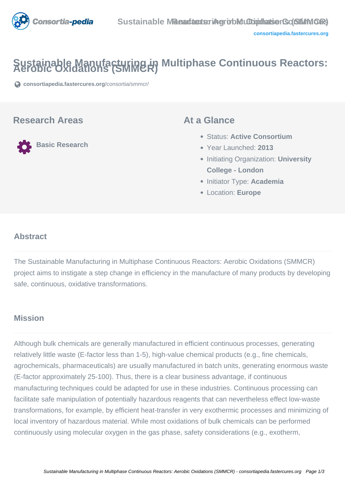

# Sustainable Manufacturing in Multiphase Continuous Reactors:

**[consortiapedia.fastercures.org](https://consortiapedia.fastercures.org/consortia/smmcr/)**[/consortia/smmcr/](https://consortiapedia.fastercures.org/consortia/smmcr/)

### **Research Areas**

**Basic Research**

### **At a Glance**

- Status: **Active Consortium**
- Year Launched: **2013**
- **Initiating Organization: University College - London**
- Initiator Type: **Academia**
- Location: **Europe**

#### $\overline{a}$ **Abstract**

The Sustainable Manufacturing in Multiphase Continuous Reactors: Aerobic Oxidations (SMMCR) project aims to instigate a step change in efficiency in the manufacture of many products by developing safe, continuous, oxidative transformations.

## **Mission**

Although bulk chemicals are generally manufactured in efficient continuous processes, generating relatively little waste (E-factor less than 1-5), high-value chemical products (e.g., fine chemicals, agrochemicals, pharmaceuticals) are usually manufactured in batch units, generating enormous waste (E-factor approximately 25-100). Thus, there is a clear business advantage, if continuous manufacturing techniques could be adapted for use in these industries. Continuous processing can facilitate safe manipulation of potentially hazardous reagents that can nevertheless effect low-waste transformations, for example, by efficient heat-transfer in very exothermic processes and minimizing of local inventory of hazardous material. While most oxidations of bulk chemicals can be performed continuously using molecular oxygen in the gas phase, safety considerations (e.g., exotherm,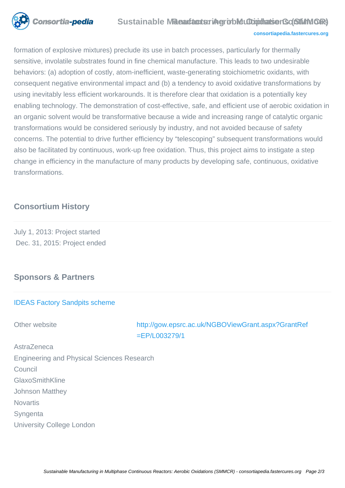

### **Sustainable Maeartacturing robic Oxiocharge Constants (SMMOR)**

#### **[consortiapedia.fastercures.org](http://consortiapedia.fastercures.org/)**

formation of explosive mixtures) preclude its use in batch processes, particularly for thermally sensitive, involatile substrates found in fine chemical manufacture. This leads to two undesirable behaviors: (a) adoption of costly, atom-inefficient, waste-generating stoichiometric oxidants, with consequent negative environmental impact and (b) a tendency to avoid oxidative transformations by using inevitably less efficient workarounds. It is therefore clear that oxidation is a potentially key enabling technology. The demonstration of cost-effective, safe, and efficient use of aerobic oxidation in an organic solvent would be transformative because a wide and increasing range of catalytic organic transformations would be considered seriously by industry, and not avoided because of safety concerns. The potential to drive further efficiency by "telescoping" subsequent transformations would also be facilitated by continuous, work-up free oxidation. Thus, this project aims to instigate a step change in efficiency in the manufacture of many products by developing safe, continuous, oxidative transformations.

# **Consortium History**

July 1, 2013: Project started Dec. 31, 2015: Project ended

# **Sponsors & Partners**

#### [IDEAS Factory Sandpits scheme](https://www.epsrc.ac.uk/newsevents/pubs/welcome-to-the-ideas-factory-home-of-innovation-since-2004/)

Other website [http://gow.epsrc.ac.uk/NGBOViewGrant.aspx?GrantRef](http://gow.epsrc.ac.uk/NGBOViewGrant.aspx?GrantRef=EP/L003279/1)  $=$ FP/L003279/1

AstraZeneca Engineering and Physical Sciences Research Council GlaxoSmithKline Johnson Matthey **Novartis** Syngenta University College London